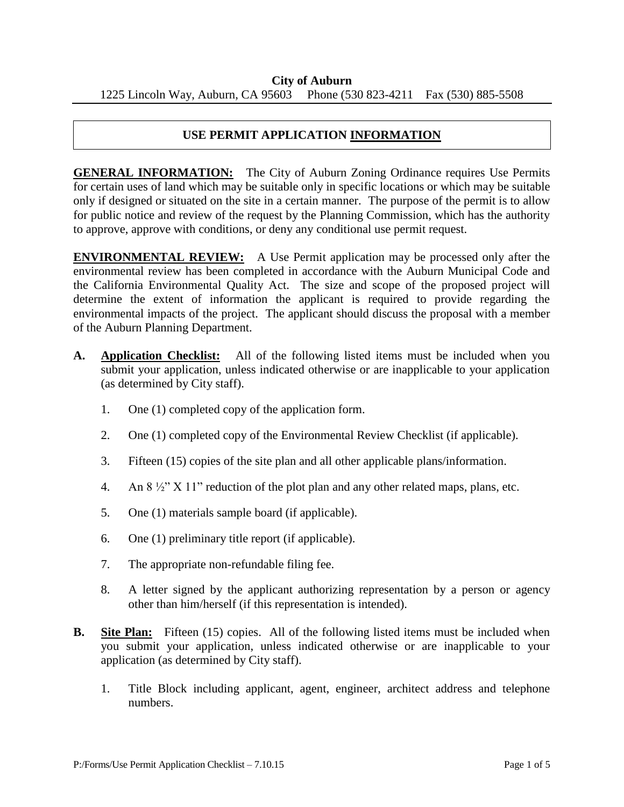## **USE PERMIT APPLICATION INFORMATION**

**GENERAL INFORMATION:** The City of Auburn Zoning Ordinance requires Use Permits for certain uses of land which may be suitable only in specific locations or which may be suitable only if designed or situated on the site in a certain manner. The purpose of the permit is to allow for public notice and review of the request by the Planning Commission, which has the authority to approve, approve with conditions, or deny any conditional use permit request.

**ENVIRONMENTAL REVIEW:** A Use Permit application may be processed only after the environmental review has been completed in accordance with the Auburn Municipal Code and the California Environmental Quality Act. The size and scope of the proposed project will determine the extent of information the applicant is required to provide regarding the environmental impacts of the project. The applicant should discuss the proposal with a member of the Auburn Planning Department.

- **A. Application Checklist:** All of the following listed items must be included when you submit your application, unless indicated otherwise or are inapplicable to your application (as determined by City staff).
	- 1. One (1) completed copy of the application form.
	- 2. One (1) completed copy of the Environmental Review Checklist (if applicable).
	- 3. Fifteen (15) copies of the site plan and all other applicable plans/information.
	- 4. An 8 ½" X 11" reduction of the plot plan and any other related maps, plans, etc.
	- 5. One (1) materials sample board (if applicable).
	- 6. One (1) preliminary title report (if applicable).
	- 7. The appropriate non-refundable filing fee.
	- 8. A letter signed by the applicant authorizing representation by a person or agency other than him/herself (if this representation is intended).
- **B.** Site Plan: Fifteen (15) copies. All of the following listed items must be included when you submit your application, unless indicated otherwise or are inapplicable to your application (as determined by City staff).
	- 1. Title Block including applicant, agent, engineer, architect address and telephone numbers.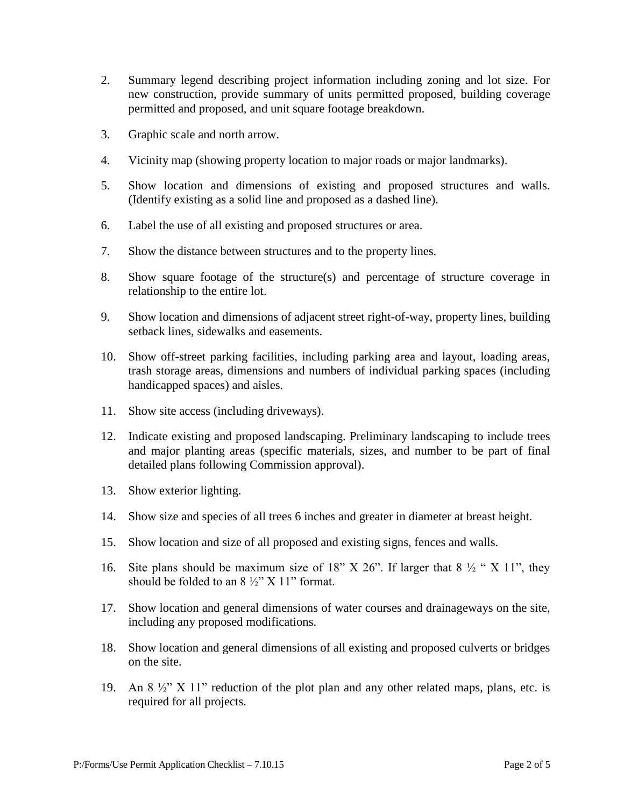- 2. Summary legend describing project information including zoning and lot size. For new construction, provide summary of units permitted proposed, building coverage permitted and proposed, and unit square footage breakdown.
- 3. Graphic scale and north arrow.
- 4. Vicinity map (showing property location to major roads or major landmarks).
- 5. Show location and dimensions of existing and proposed structures and walls. (Identify existing as a solid line and proposed as a dashed line).
- 6. Label the use of all existing and proposed structures or area.
- 7. Show the distance between structures and to the property lines.
- 8. Show square footage of the structure(s) and percentage of structure coverage in relationship to the entire lot.
- 9. Show location and dimensions of adjacent street right-of-way, property lines, building setback lines, sidewalks and easements.
- 10. Show off-street parking facilities, including parking area and layout, loading areas, trash storage areas, dimensions and numbers of individual parking spaces (including handicapped spaces) and aisles.
- 11. Show site access (including driveways).
- 12. Indicate existing and proposed landscaping. Preliminary landscaping to include trees and major planting areas (specific materials, sizes, and number to be part of final detailed plans following Commission approval).
- 13. Show exterior lighting.
- 14. Show size and species of all trees 6 inches and greater in diameter at breast height.
- 15. Show location and size of all proposed and existing signs, fences and walls.
- 16. Site plans should be maximum size of 18" X 26". If larger that  $8\frac{1}{2}$  " X 11", they should be folded to an  $8\frac{1}{2}$  X 11" format.
- 17. Show location and general dimensions of water courses and drainageways on the site, including any proposed modifications.
- 18. Show location and general dimensions of all existing and proposed culverts or bridges on the site.
- 19. An  $8\frac{1}{2}$  X 11" reduction of the plot plan and any other related maps, plans, etc. is required for all projects.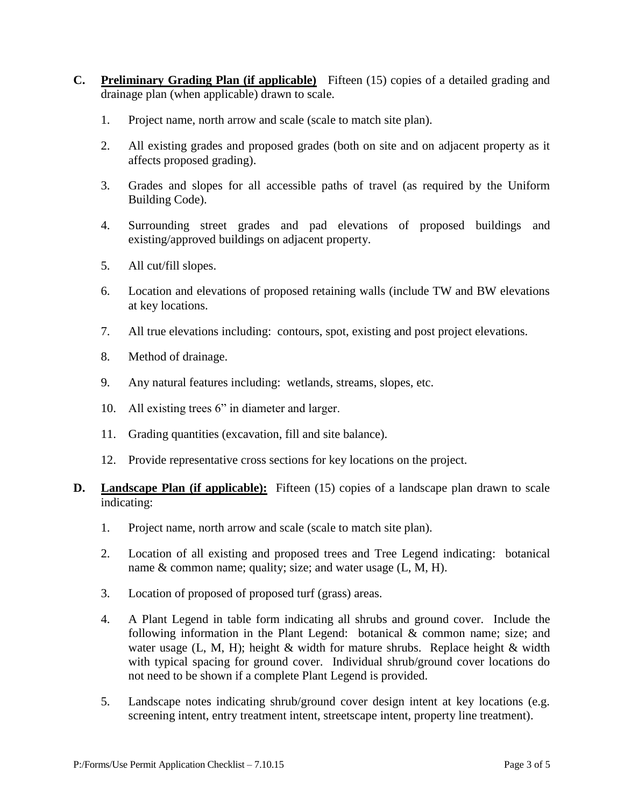- **C. Preliminary Grading Plan (if applicable)** Fifteen (15) copies of a detailed grading and drainage plan (when applicable) drawn to scale.
	- 1. Project name, north arrow and scale (scale to match site plan).
	- 2. All existing grades and proposed grades (both on site and on adjacent property as it affects proposed grading).
	- 3. Grades and slopes for all accessible paths of travel (as required by the Uniform Building Code).
	- 4. Surrounding street grades and pad elevations of proposed buildings and existing/approved buildings on adjacent property.
	- 5. All cut/fill slopes.
	- 6. Location and elevations of proposed retaining walls (include TW and BW elevations at key locations.
	- 7. All true elevations including: contours, spot, existing and post project elevations.
	- 8. Method of drainage.
	- 9. Any natural features including: wetlands, streams, slopes, etc.
	- 10. All existing trees 6" in diameter and larger.
	- 11. Grading quantities (excavation, fill and site balance).
	- 12. Provide representative cross sections for key locations on the project.
- **D. Landscape Plan (if applicable):** Fifteen (15) copies of a landscape plan drawn to scale indicating:
	- 1. Project name, north arrow and scale (scale to match site plan).
	- 2. Location of all existing and proposed trees and Tree Legend indicating: botanical name & common name; quality; size; and water usage (L, M, H).
	- 3. Location of proposed of proposed turf (grass) areas.
	- 4. A Plant Legend in table form indicating all shrubs and ground cover. Include the following information in the Plant Legend: botanical & common name; size; and water usage (L, M, H); height  $&$  width for mature shrubs. Replace height  $&$  width with typical spacing for ground cover. Individual shrub/ground cover locations do not need to be shown if a complete Plant Legend is provided.
	- 5. Landscape notes indicating shrub/ground cover design intent at key locations (e.g. screening intent, entry treatment intent, streetscape intent, property line treatment).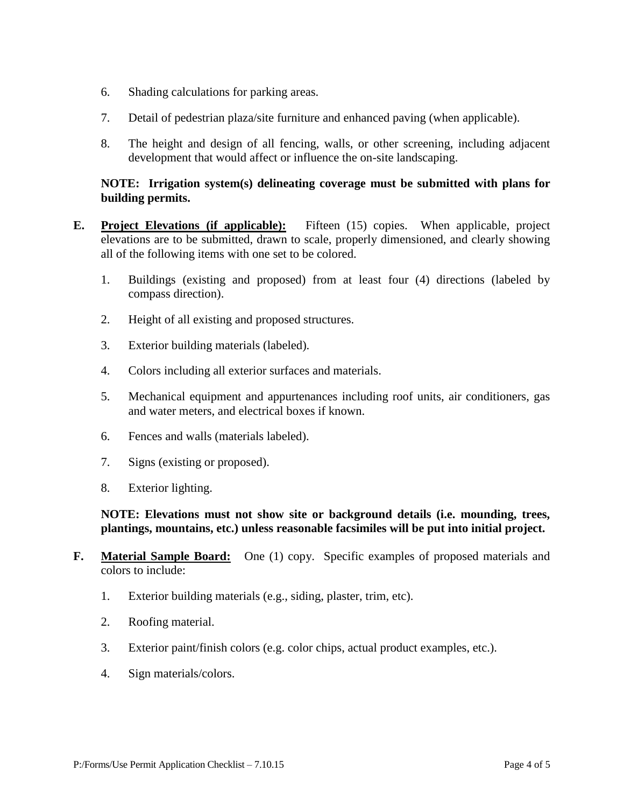- 6. Shading calculations for parking areas.
- 7. Detail of pedestrian plaza/site furniture and enhanced paving (when applicable).
- 8. The height and design of all fencing, walls, or other screening, including adjacent development that would affect or influence the on-site landscaping.

## **NOTE: Irrigation system(s) delineating coverage must be submitted with plans for building permits.**

- **E. Project Elevations (if applicable):** Fifteen (15) copies. When applicable, project elevations are to be submitted, drawn to scale, properly dimensioned, and clearly showing all of the following items with one set to be colored.
	- 1. Buildings (existing and proposed) from at least four (4) directions (labeled by compass direction).
	- 2. Height of all existing and proposed structures.
	- 3. Exterior building materials (labeled).
	- 4. Colors including all exterior surfaces and materials.
	- 5. Mechanical equipment and appurtenances including roof units, air conditioners, gas and water meters, and electrical boxes if known.
	- 6. Fences and walls (materials labeled).
	- 7. Signs (existing or proposed).
	- 8. Exterior lighting.

## **NOTE: Elevations must not show site or background details (i.e. mounding, trees, plantings, mountains, etc.) unless reasonable facsimiles will be put into initial project.**

- **F. Material Sample Board:** One (1) copy. Specific examples of proposed materials and colors to include:
	- 1. Exterior building materials (e.g., siding, plaster, trim, etc).
	- 2. Roofing material.
	- 3. Exterior paint/finish colors (e.g. color chips, actual product examples, etc.).
	- 4. Sign materials/colors.